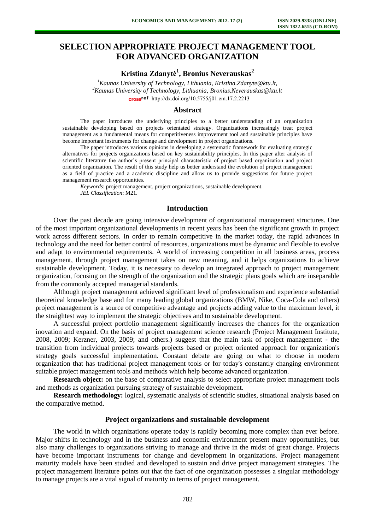# **SELECTION APPROPRIATE PROJECT MANAGEMENT TOOL FOR ADVANCED ORGANIZATION**

**Kristina Zdanytė<sup>1</sup> , Bronius Neverauskas<sup>2</sup>**

*<sup>1</sup>Kaunas University of Technology, Lithuania, Kristina.Zdanyte@ktu.lt, <sup>2</sup>Kaunas University of Technology, Lithuania, [Bronius.Neverauskas@ktu.lt](mailto:Bronius.Neverauskas@ktu.lt)* cross<sup>ref</sup> http://dx.doi.org/10.5755/j01.em.17.2.2213

## **Abstract**

The paper introduces the underlying principles to a better understanding of an organization sustainable developing based on projects orientated strategy. Organizations increasingly treat project management as a fundamental means for competitiveness improvement tool and sustainable principles have become important instruments for change and development in project organizations.

The paper introduces various opinions in developing a systematic framework for evaluating strategic alternatives for projects organizations based on key sustainability principles. In this paper after analysis of scientific literature the author's present principal characteristic of project based organization and project oriented organization. The result of this study help us better understand the evolution of project management as a field of practice and a academic discipline and allow us to provide suggestions for future project management research opportunities.

*Keywords*: project management, project organizations, sustainable development. *JEL Classification*: M21.

#### **Introduction**

Over the past decade are going intensive development of organizational management structures. One of the most important organizational developments in recent years has been the significant growth in project work across different sectors. In order to remain competitive in the market today, the rapid advances in technology and the need for better control of resources, organizations must be dynamic and flexible to evolve and adapt to environmental requirements. A world of increasing competition in all business areas, process management, through project management takes on new meaning, and it helps organizations to achieve sustainable development. Today, it is necessary to develop an integrated approach to project management organization, focusing on the strength of the organization and the strategic plans goals which are inseparable from the commonly accepted managerial standards.

Although project management achieved significant level of professionalism and experience substantial theoretical knowledge base and for many leading global organizations (BMW, Nike, Coca-Cola and others) project management is a source of competitive advantage and projects adding value to the maximum level, it the straightest way to implement the strategic objectives and to sustainable development.

A successful project portfolio management significantly increases the chances for the organization inovation and expand. On the basis of project management science research (Project Management Institute, 2008, 2009; Kerzner, 2003, 2009; and others.) suggest that the main task of project management - the transition from individual projects towards projects based or project oriented approach for organization's strategy goals successful implementation. Constant debate are going on what to choose in modern organization that has traditional project management tools or for today's constantly changing environment suitable project management tools and methods which help become advanced organization.

**Research object:** on the base of comparative analysis to select appropriate project management tools and methods as organization pursuing strategy of sustainable development.

**Research methodology:** logical, systematic analysis of scientific studies, situational analysis based on the comparative method.

### **Project organizations and sustainable development**

The world in which organizations operate today is rapidly becoming more complex than ever before. Major shifts in technology and in the business and economic environment present many opportunities, but also many challenges to organizations striving to manage and thrive in the midst of great change. Projects have become important instruments for change and development in organizations. Project management maturity models have been studied and developed to sustain and drive project management strategies. The project management literature points out that the fact of one organization possesses a singular methodology to manage projects are a vital signal of maturity in terms of project management.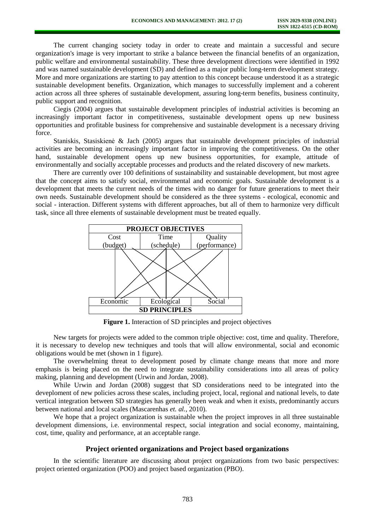The current changing society today in order to create and maintain a successful and secure organization's image is very important to strike a balance between the financial benefits of an organization, public welfare and environmental sustainability. These three development directions were identified in 1992 and was named sustainable development (SD) and defined as a major public long-term development strategy. More and more organizations are starting to pay attention to this concept because understood it as a strategic sustainable development benefits. Organization, which manages to successfully implement and a coherent action across all three spheres of sustainable development, assuring long-term benefits, business continuity, public support and recognition.

Ciegis (2004) argues that sustainable development principles of industrial activities is becoming an increasingly important factor in competitiveness, sustainable development opens up new business opportunities and profitable business for comprehensive and sustainable development is a necessary driving force.

Staniskis, Stasiskienė & Jach (2005) argues that sustainable development principles of industrial activities are becoming an increasingly important factor in improving the competitiveness. On the other hand, sustainable development opens up new business opportunities, for example, attitude of environmentally and socially acceptable processes and products and the related discovery of new markets.

There are currently over 100 definitions of sustainability and sustainable development, but most agree that the concept aims to satisfy social, environmental and economic goals. Sustainable development is a development that meets the current needs of the times with no danger for future generations to meet their own needs. Sustainable development should be considered as the three systems - ecological, economic and social - interaction. Different systems with different approaches, but all of them to harmonize very difficult task, since all three elements of sustainable development must be treated equally.



**Figure 1.** Interaction of SD principles and project objectives

New targets for projects were added to the common triple objective: cost, time and quality. Therefore, it is necessary to develop new techniques and tools that will allow environmental, social and economic obligations would be met (shown in 1 figure).

The overwhelming threat to development posed by climate change means that more and more emphasis is being placed on the need to integrate sustainability considerations into all areas of policy making, planning and development (Urwin and Jordan, 2008).

While Urwin and Jordan (2008) suggest that SD considerations need to be integrated into the deveploment of new policies across these scales, including project, local, regional and national levels, to date vertical integration between SD strategies has generally been weak and when it exists, predominantly accurs between national and local scales (Mascarenhas *et. al.,* 2010).

We hope that a project organization is sustainable when the project improves in all three sustainable development dimensions, i.e. environmental respect, social integration and social economy, maintaining, cost, time, quality and performance, at an acceptable range.

# **Project oriented organizations and Project based organizations**

In the scientific literature are discussing about project organizations from two basic perspectives: project oriented organization (POO) and project based organization (PBO).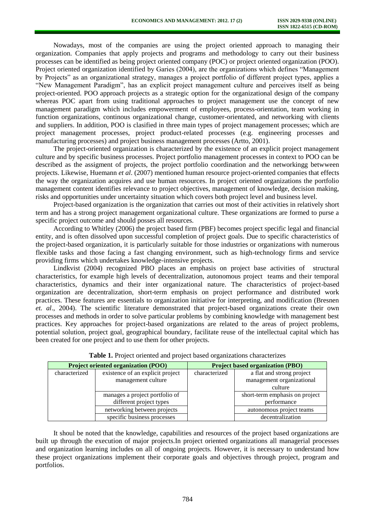Nowadays, most of the companies are using the project oriented approach to managing their organization. Companies that apply projects and programs and methodology to carry out their business processes can be identified as being project oriented company (POC) or project oriented organization (POO). Project oriented organization identified by Garies (2004), are the organizations which defines "Management by Projects" as an organizational strategy, manages a project portfolio of different project types, applies a "New Management Paradigm", has an explicit project management culture and perceives itself as being project-oriented. POO approach projects as a strategic option for the organizational design of the company whereas POC apart from using traditional approaches to project management use the concept of new management paradigm which includes empowerment of employees, process-orientation, team working in function organizations, continous organizational change, customer-orientated, and networking with clients and suppliers. In addition, POO is clasified in three main types of project management processes; which are project management processes, project product-related processes (e.g. engineering processes and manufacturing processes) and project business management processes (Artto, 2001).

The project-oriented organization is characterized by the existence of an explicit project management culture and by specific business processes. Project portfolio management processes in context to POO can be described as the assigment of projects, the project portfolio coordination and the networkingg betwween projects. Likewise, Huemann *et al*. (2007) mentioned human resource project-oriented companies that effects the way the organization acquires and use human resources. In project oriented organizations the portfolio management content identifies relevance to project objectives, management of knowledge, decision making, risks and opportunities under uncertainty situation which covers both project level and business level.

Project-based organization is the organization that carries out most of their activities in relatively short term and has a strong project management organizational culture. These organizations are formed to purse a specific project outcome and should posses all resources.

According to Whitley (2006) the project based firm (PBF) becomes project specific legal and financial entity, and is often dissolved upon successful completion of project goals. Due to specific characteristics of the project-based organization, it is particularly suitable for those industries or organizations with numerous flexible tasks and those facing a fast changing environment, such as high-technology firms and service providing firms which undertakes knowledge-intensive projects.

Lindkvist (2004) recognized PBO places an emphasis on project base activities of structural characteristics, for example high levels of decentralization, autonomous project teams and their temporal characteristics, dynamics and their inter organizational nature. The characteristics of project-based organization are decentralization, short-term emphasis on project performance and distributed work practices. These features are essentials to organization initiative for interpreting, and modification (Bresnen *et. al*., 2004). The scientific literature demonstrated that project-based organizations create their own processes and methods in order to solve particular problems by combining knowledge with management best practices. Key approaches for project-based organizations are related to the areas of project problems, potential solution, project goal, geographical boundary, facilitate reuse of the intellectual capital which has been created for one project and to use them for other projects.

|               | <b>Project oriented organization (POO)</b>                | <b>Project based organization (PBO)</b> |                                                                   |  |
|---------------|-----------------------------------------------------------|-----------------------------------------|-------------------------------------------------------------------|--|
| characterized | existence of an explicit project<br>management culture    | characterized                           | a flat and strong project<br>management organizational<br>culture |  |
|               | manages a project portfolio of<br>different project types |                                         | short-term emphasis on project<br>performance                     |  |
|               | networking between projects                               |                                         | autonomous project teams                                          |  |
|               | specific business processes                               |                                         | decentralization                                                  |  |

|  |  | Table 1. Project oriented and project based organizations characterizes |  |
|--|--|-------------------------------------------------------------------------|--|
|  |  |                                                                         |  |

It shoul be noted that the knowledge, capabilities and resources of the project based organizations are built up through the execution of major projects.In project oriented organizations all managerial processes and organization learning includes on all of ongoing projects. However, it is necessary to understand how these project organizations implement their corporate goals and objectives through project, program and portfolios.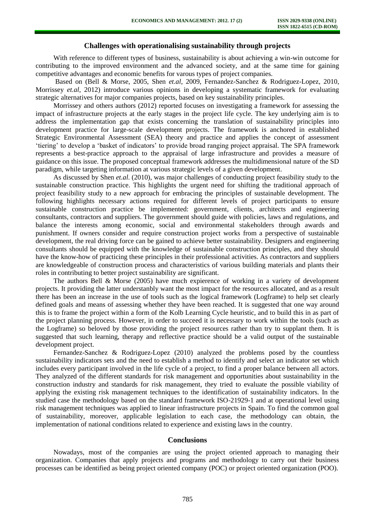## **Challenges with operationalising sustainability through projects**

With reference to different types of business, sustainability is about achieving a win-win outcome for contributing to the improved environment and the advanced society, and at the same time for gaining competitive advantages and economic benefits for varous types of project companies.

Based on (Bell & Morse, 2005, Shen *et.al,* 2009, Fernandez-Sanchez & Rodriguez-Lopez, 2010, Morrissey *et.al,* 2012) introduce various opinions in developing a systematic framework for evaluating strategic alternatives for major companies projects, based on key sustainability principles.

Morrissey and others authors (2012) reported focuses on investigating a framework for assessing the impact of infrastructure projects at the early stages in the project life cycle. The key underlying aim is to address the implementation gap that exists concerning the translation of sustainability principles into development practice for large-scale development projects. The framework is anchored in established Strategic Environmental Assessment (SEA) theory and practice and applies the concept of assessment 'tiering' to develop a 'basket of indicators' to provide broad ranging project appraisal. The SPA framework represents a best-practice approach to the appraisal of large infrastructure and provides a measure of guidance on this issue. The proposed conceptual framework addresses the multidimensional nature of the SD paradigm, while targeting information at various strategic levels of a given development.

As discussed by Shen *et.al*. (2010), was major challenges of conducting project feasibility study to the sustainable construction practice. This highlights the urgent need for shifting the traditional approach of project feasibility study to a new approach for embracing the principles of sustainable development. The following highlights necessary actions required for different levels of project participants to ensure sustainable construction practice be implemented: government, clients, architects and engineering consultants, contractors and suppliers. The government should guide with policies, laws and regulations, and balance the interests among economic, social and environmental stakeholders through awards and punishment. If owners consider and require construction project works from a perspective of sustainable development, the real driving force can be gained to achieve better sustainability. Designers and engineering consultants should be equipped with the knowledge of sustainable construction principles, and they should have the know-how of practicing these principles in their professional activities. As contractors and suppliers are knowledgeable of construction process and characteristics of various building materials and plants their roles in contributing to better project sustainability are significant.

The authors Bell & Morse (2005) have much expierence of working in a variety of development projects. It providing the latter understanbly want the most impact for the resources allocated, and as a result there has been an increase in the use of tools such as the logical framework (Logframe) to help set clearly defined goals and means of assessing whether they have been reached. It is suggested that one way around this is to frame the project within a form of the Kolb Learning Cycle heuristic, and to build this in as part of the project planning process. However, in order to succeed it is necessary to work within the tools (such as the Logframe) so beloved by those providing the project resources rather than try to supplant them. It is suggested that such learning, therapy and reflective practice should be a valid output of the sustainable development project.

Fernandez-Sanchez & Rodriguez-Lopez (2010) analyzed the problems posed by the countless sustainability indicators sets and the need to establish a method to identify and select an indicator set which includes every participant involved in the life cycle of a project, to find a proper balance between all actors. They analyzed of the different standards for risk management and opportunities about sustainability in the construction industry and standards for risk management, they tried to evaluate the possible viability of applying the existing risk management techniques to the identification of sustainability indicators. In the studied case the methodology based on the standard framework ISO-21929-1 and at operational level using risk management techniques was applied to linear infrastructure projects in Spain. To find the common goal of sustainability, moreover, applicable legislation to each case, the methodology can obtain, the implementation of national conditions related to experience and existing laws in the country.

#### **Conclusions**

Nowadays, most of the companies are using the project oriented approach to managing their organization. Companies that apply projects and programs and methodology to carry out their business processes can be identified as being project oriented company (POC) or project oriented organization (POO).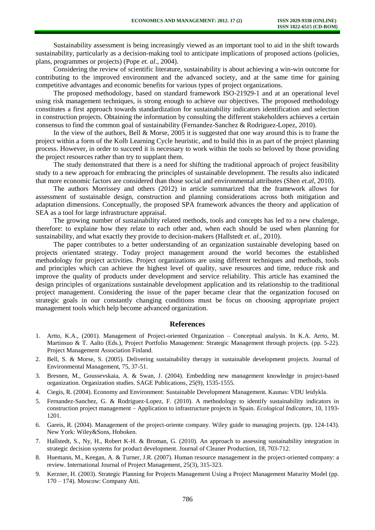Sustainability assessment is being increasingly viewed as an important tool to aid in the shift towards sustainability, particularly as a decision-making tool to anticipate implications of proposed actions (policies, plans, programmes or projects) (Pope *et. al*., 2004).

Considering the review of scientific literature, sustainability is about achieving a win-win outcome for contributing to the improved environment and the advanced society, and at the same time for gaining competitive advantages and economic benefits for various types of project organizations.

The proposed methodology, based on standard framework ISO-21929-1 and at an operational level using risk management techniques, is strong enough to achieve our objectives. The proposed methodology constitutes a first approach towards standardization for sustainability indicators identification and selection in construction projects. Obtaining the information by consulting the different stakeholders achieves a certain consensus to find the common goal of sustainability (Fernandez-Sanchez & Rodriguez-Lopez, 2010).

In the view of the authors, Bell & Morse, 2005 it is suggested that one way around this is to frame the project within a form of the Kolb Learning Cycle heuristic, and to build this in as part of the project planning process. However, in order to succeed it is necessary to work within the tools so beloved by those providing the project resources rather than try to supplant them.

The study demonstrated that there is a need for shifting the traditional approach of project feasibility study to a new approach for embracing the principles of sustainable development. The results also indicated that more economic factors are considered than those social and environmental attributes (Shen *et.al,* 2010).

The authors Morrissey and others (2012) in article summarized that the framework allows for assessment of sustainable design, construction and planning considerations across both mitigation and adaptation dimensions. Conceptually, the proposed SPA framework advances the theory and application of SEA as a tool for large infrastructure appraisal.

The growing number of sustainability related methods, tools and concepts has led to a new chalenge, therefore: to explaine how they relate to each other and, when each should be used when planning for sustainability, and what exactly they provide to decision-makers (Hallstedt *et. al.,* 2010).

The paper contributes to a better understanding of an organization sustainable developing based on projects orientated strategy. Today project management around the world becomes the established methodology for project activities. Project organizations are using different techniques and methods, tools and principles which can achieve the highest level of quality, save resources and time, reduce risk and improve the quality of products under development and service reliability. This article has examined the design principles of organizations sustainable development application and its relationship to the traditional project management. Considering the issue of the paper became clear that the organization focused on strategic goals in our constantly changing conditions must be focus on choosing appropriate project management tools which help become advanced organization.

#### **References**

- 1. Artto, K.A., (2001). Management of Project-oriented Organization Conceptual analysis. In K.A. Arrto, M. Martinsuo & T. Aalto (Eds.), Project Portfolio Management: Strategic Management through projects. (pp. 5-22). Project Management Association Finland.
- 2. Bell, S. & Morse, S. (2005). Delivering sustainability therapy in sustainable development projects. Journal of Environmental Management, 75, 37-51.
- 3. Bresnen, M., Goussevskaia, A. & Swan, J. (2004). Embedding new management knowledge in project-based organization. Organization studies. SAGE Publications, 25(9), 1535-1555.
- 4. Ciegis, R. (2004). Economy and Environment: Sustainable Development Management. Kaunas: VDU leidykla.
- 5. Fernandez-Sanchez, G. & Rodriguez-Lopez, F. (2010). A methodology to identify sustainability indicators in construction project management – Application to infrastructure projects in Spain. *Ecological Indicators*, 10, 1193- 1201.
- 6. Gareis, R. (2004). Management of the project-oriente company. Wiley guide to managing projects*.* (pp. 124-143). New York: Wiley&Sons, Hoboken.
- 7. Hallstedt, S., Ny, H., Robert K-H. & Broman, G. (2010). An approach to assessing sustainability integration in strategic decision systems for product development. Journal of Cleaner Production, 18, 703-712.
- 8. Huemann, M., Keegan, A. & Turner, J.R. (2007). Human resource management in the project-oriented company: a review. International Journal of Project Management, 25(3), 315-323.
- 9. Kerzner, H. (2003). Strategic Planning for Projects Management Using a Project Management Maturity Model (pp. 170 – 174). Moscow: Company Aiti.